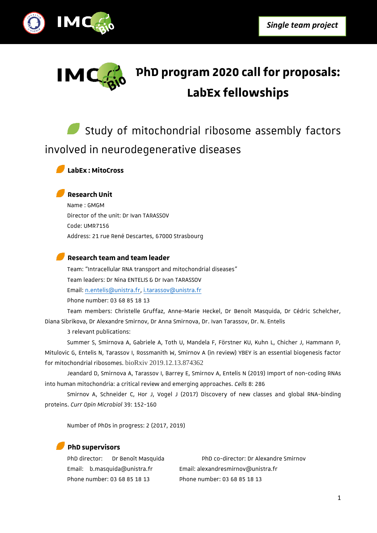



# **PhD program 2020 call for proposals: LabEx fellowships**

Study of mitochondrial ribosome assembly factors involved in neurodegenerative diseases

**LabEx : MitoCross**

### **Research Unit**

Name : GMGM Director of the unit: Dr Ivan TARASSOV Code: UMR7156 Address: 21 rue René Descartes, 67000 Strasbourg

#### **Research team and team leader**

Team: "Intracellular RNA transport and mitochondrial diseases" Team leaders: Dr Nina ENTELIS & Dr Ivan TARASSOV Email: [n.entelis@unistra.fr,](mailto:n.entelis@unisatra.fr) [i.tarassov@unistra.fr](mailto:i.tarassov@unistra.fr) Phone number: 03 68 85 18 13

Team members: Christelle Gruffaz, Anne-Marie Heckel, Dr Benoît Masquida, Dr Cédric Schelcher, Diana Sibrikova, Dr Alexandre Smirnov, Dr Anna Smirnova, Dr. Ivan Tarassov, Dr. N. Entelis

3 relevant publications:

Summer S, Smirnova A, Gabriele A, Toth U, Mandela F, Förstner KU, Kuhn L, Chicher J, Hammann P, Mitulovic G, Entelis N, Tarassov I, Rossmanith W, Smirnov A (in review) YBEY is an essential biogenesis factor for mitochondrial ribosomes. bioRxiv 2019.12.13.874362

Jeandard D, Smirnova A, Tarassov I, Barrey E, Smirnov A, Entelis N (2019) Import of non-coding RNAs into human mitochondria: a critical review and emerging approaches. *Cells* 8: 286

Smirnov A, Schneider C, Hor J, Vogel J (2017) Discovery of new classes and global RNA-binding proteins. *Curr Opin Microbiol* 39: 152-160

Number of PhDs in progress: 2 (2017, 2019)

#### **PhD supervisors**

Email: b.masquida@unistra.fr Email: alexandresmirnov@unistra.fr Phone number: 03 68 85 18 13 Phone number: 03 68 85 18 13

PhD director: Dr Benoît Masquida PhD co-director: Dr Alexandre Smirnov